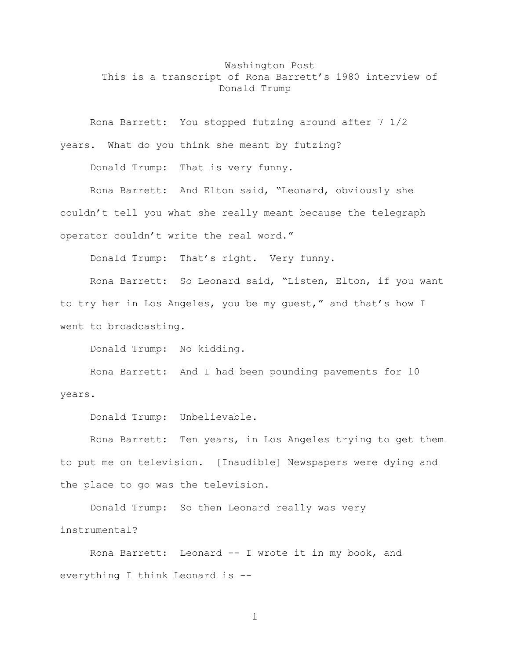## Washington Post This is a transcript of Rona Barrett's 1980 interview of Donald Trump

Rona Barrett: You stopped futzing around after 7 1/2 years. What do you think she meant by futzing?

Donald Trump: That is very funny.

Rona Barrett: And Elton said, "Leonard, obviously she couldn't tell you what she really meant because the telegraph operator couldn't write the real word."

Donald Trump: That's right. Very funny.

Rona Barrett: So Leonard said, "Listen, Elton, if you want to try her in Los Angeles, you be my guest," and that's how I went to broadcasting.

Donald Trump: No kidding.

Rona Barrett: And I had been pounding pavements for 10 years.

Donald Trump: Unbelievable.

Rona Barrett: Ten years, in Los Angeles trying to get them to put me on television. [Inaudible] Newspapers were dying and the place to go was the television.

Donald Trump: So then Leonard really was very instrumental?

Rona Barrett: Leonard -- I wrote it in my book, and everything I think Leonard is --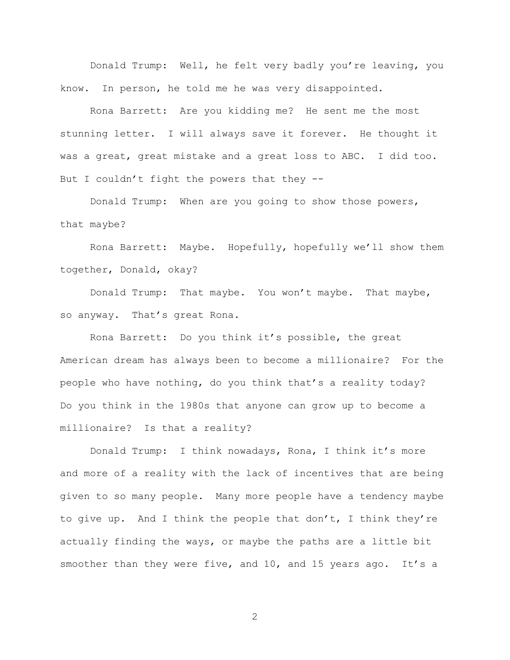Donald Trump: Well, he felt very badly you're leaving, you know. In person, he told me he was very disappointed.

Rona Barrett: Are you kidding me? He sent me the most stunning letter. I will always save it forever. He thought it was a great, great mistake and a great loss to ABC. I did too. But I couldn't fight the powers that they --

Donald Trump: When are you going to show those powers, that maybe?

Rona Barrett: Maybe. Hopefully, hopefully we'll show them together, Donald, okay?

Donald Trump: That maybe. You won't maybe. That maybe, so anyway. That's great Rona.

Rona Barrett: Do you think it's possible, the great American dream has always been to become a millionaire? For the people who have nothing, do you think that's a reality today? Do you think in the 1980s that anyone can grow up to become a millionaire? Is that a reality?

Donald Trump: I think nowadays, Rona, I think it's more and more of a reality with the lack of incentives that are being given to so many people. Many more people have a tendency maybe to give up. And I think the people that don't, I think they're actually finding the ways, or maybe the paths are a little bit smoother than they were five, and 10, and 15 years ago. It's a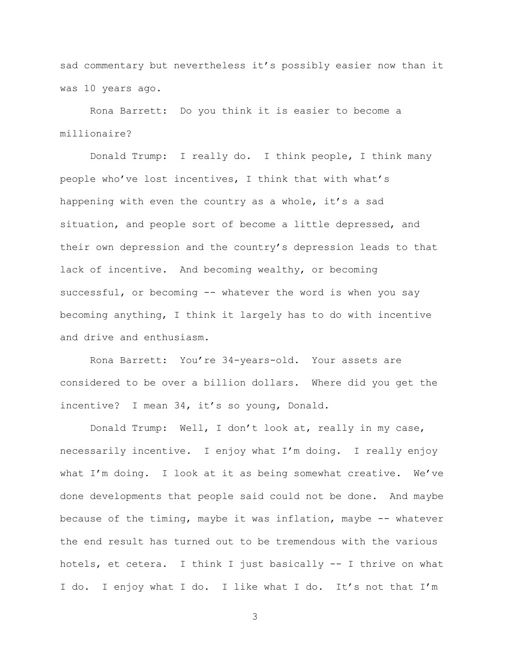sad commentary but nevertheless it's possibly easier now than it was 10 years ago.

Rona Barrett: Do you think it is easier to become a millionaire?

Donald Trump: I really do. I think people, I think many people who've lost incentives, I think that with what's happening with even the country as a whole, it's a sad situation, and people sort of become a little depressed, and their own depression and the country's depression leads to that lack of incentive. And becoming wealthy, or becoming successful, or becoming -- whatever the word is when you say becoming anything, I think it largely has to do with incentive and drive and enthusiasm.

Rona Barrett: You're 34-years-old. Your assets are considered to be over a billion dollars. Where did you get the incentive? I mean 34, it's so young, Donald.

Donald Trump: Well, I don't look at, really in my case, necessarily incentive. I enjoy what I'm doing. I really enjoy what I'm doing. I look at it as being somewhat creative. We've done developments that people said could not be done. And maybe because of the timing, maybe it was inflation, maybe -- whatever the end result has turned out to be tremendous with the various hotels, et cetera. I think I just basically -- I thrive on what I do. I enjoy what I do. I like what I do. It's not that I'm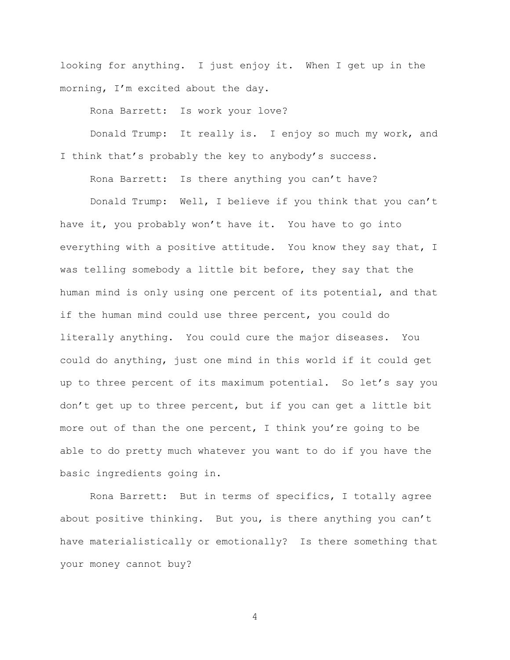looking for anything. I just enjoy it. When I get up in the morning, I'm excited about the day.

Rona Barrett: Is work your love?

Donald Trump: It really is. I enjoy so much my work, and I think that's probably the key to anybody's success.

Rona Barrett: Is there anything you can't have?

Donald Trump: Well, I believe if you think that you can't have it, you probably won't have it. You have to go into everything with a positive attitude. You know they say that, I was telling somebody a little bit before, they say that the human mind is only using one percent of its potential, and that if the human mind could use three percent, you could do literally anything. You could cure the major diseases. You could do anything, just one mind in this world if it could get up to three percent of its maximum potential. So let's say you don't get up to three percent, but if you can get a little bit more out of than the one percent, I think you're going to be able to do pretty much whatever you want to do if you have the basic ingredients going in.

Rona Barrett: But in terms of specifics, I totally agree about positive thinking. But you, is there anything you can't have materialistically or emotionally? Is there something that your money cannot buy?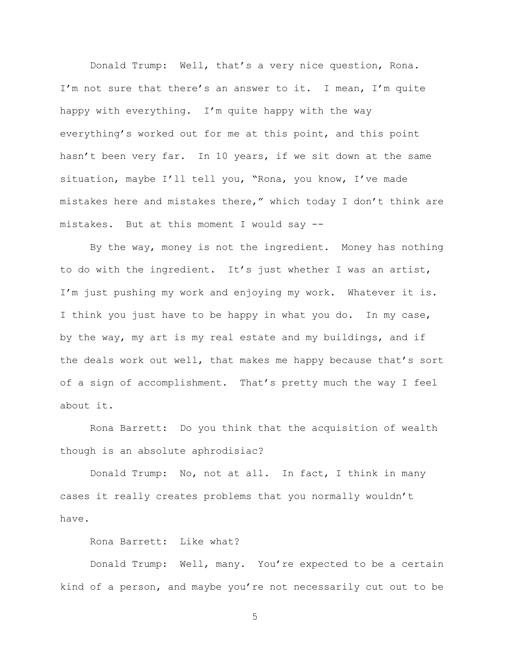Donald Trump: Well, that's a very nice question, Rona. I'm not sure that there's an answer to it. I mean, I'm quite happy with everything. I'm quite happy with the way everything's worked out for me at this point, and this point hasn't been very far. In 10 years, if we sit down at the same situation, maybe I'll tell you, "Rona, you know, I've made mistakes here and mistakes there," which today I don't think are mistakes. But at this moment I would say --

By the way, money is not the ingredient. Money has nothing to do with the ingredient. It's just whether I was an artist, I'm just pushing my work and enjoying my work. Whatever it is. I think you just have to be happy in what you do. In my case, by the way, my art is my real estate and my buildings, and if the deals work out well, that makes me happy because that's sort of a sign of accomplishment. That's pretty much the way I feel about it.

Rona Barrett: Do you think that the acquisition of wealth though is an absolute aphrodisiac?

Donald Trump: No, not at all. In fact, I think in many cases it really creates problems that you normally wouldn't have.

Rona Barrett: Like what?

Donald Trump: Well, many. You're expected to be a certain kind of a person, and maybe you're not necessarily cut out to be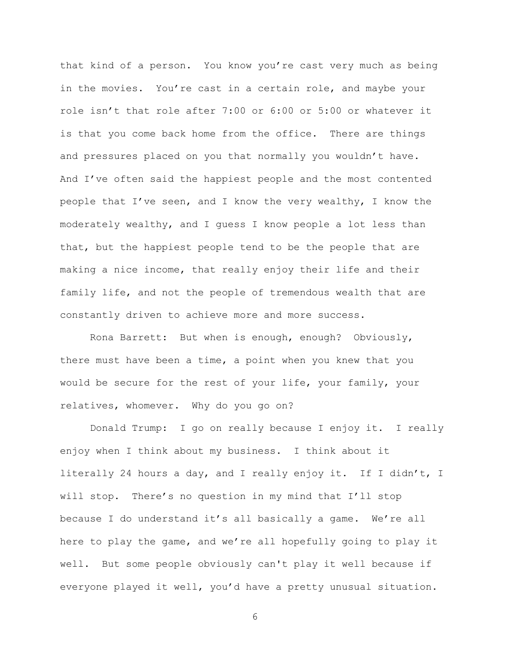that kind of a person. You know you're cast very much as being in the movies. You're cast in a certain role, and maybe your role isn't that role after 7:00 or 6:00 or 5:00 or whatever it is that you come back home from the office. There are things and pressures placed on you that normally you wouldn't have. And I've often said the happiest people and the most contented people that I've seen, and I know the very wealthy, I know the moderately wealthy, and I guess I know people a lot less than that, but the happiest people tend to be the people that are making a nice income, that really enjoy their life and their family life, and not the people of tremendous wealth that are constantly driven to achieve more and more success.

Rona Barrett: But when is enough, enough? Obviously, there must have been a time, a point when you knew that you would be secure for the rest of your life, your family, your relatives, whomever. Why do you go on?

Donald Trump: I go on really because I enjoy it. I really enjoy when I think about my business. I think about it literally 24 hours a day, and I really enjoy it. If I didn't, I will stop. There's no question in my mind that I'll stop because I do understand it's all basically a game. We're all here to play the game, and we're all hopefully going to play it well. But some people obviously can't play it well because if everyone played it well, you'd have a pretty unusual situation.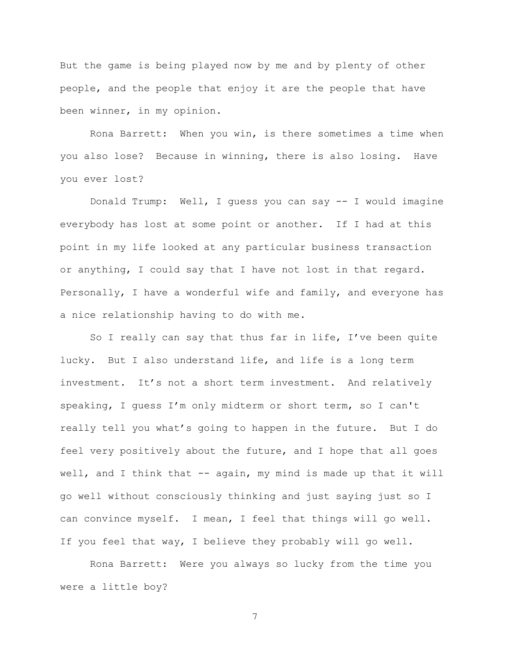But the game is being played now by me and by plenty of other people, and the people that enjoy it are the people that have been winner, in my opinion.

Rona Barrett: When you win, is there sometimes a time when you also lose? Because in winning, there is also losing. Have you ever lost?

Donald Trump: Well, I guess you can say -- I would imagine everybody has lost at some point or another. If I had at this point in my life looked at any particular business transaction or anything, I could say that I have not lost in that regard. Personally, I have a wonderful wife and family, and everyone has a nice relationship having to do with me.

So I really can say that thus far in life, I've been quite lucky. But I also understand life, and life is a long term investment. It's not a short term investment. And relatively speaking, I guess I'm only midterm or short term, so I can't really tell you what's going to happen in the future. But I do feel very positively about the future, and I hope that all goes well, and I think that -- again, my mind is made up that it will go well without consciously thinking and just saying just so I can convince myself. I mean, I feel that things will go well. If you feel that way, I believe they probably will go well.

Rona Barrett: Were you always so lucky from the time you were a little boy?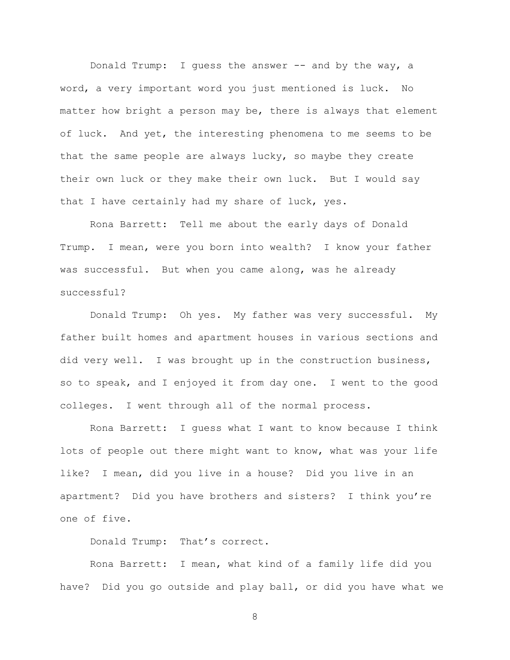Donald Trump: I guess the answer -- and by the way, a word, a very important word you just mentioned is luck. No matter how bright a person may be, there is always that element of luck. And yet, the interesting phenomena to me seems to be that the same people are always lucky, so maybe they create their own luck or they make their own luck. But I would say that I have certainly had my share of luck, yes.

Rona Barrett: Tell me about the early days of Donald Trump. I mean, were you born into wealth? I know your father was successful. But when you came along, was he already successful?

Donald Trump: Oh yes. My father was very successful. My father built homes and apartment houses in various sections and did very well. I was brought up in the construction business, so to speak, and I enjoyed it from day one. I went to the good colleges. I went through all of the normal process.

Rona Barrett: I guess what I want to know because I think lots of people out there might want to know, what was your life like? I mean, did you live in a house? Did you live in an apartment? Did you have brothers and sisters? I think you're one of five.

Donald Trump: That's correct.

Rona Barrett: I mean, what kind of a family life did you have? Did you go outside and play ball, or did you have what we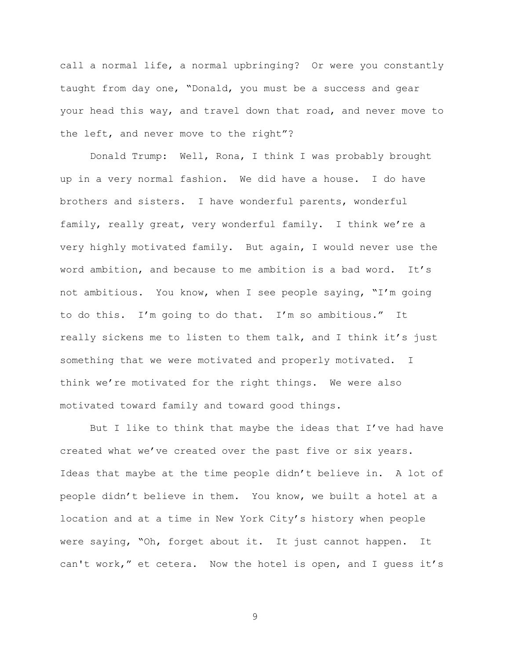call a normal life, a normal upbringing? Or were you constantly taught from day one, "Donald, you must be a success and gear your head this way, and travel down that road, and never move to the left, and never move to the right"?

Donald Trump: Well, Rona, I think I was probably brought up in a very normal fashion. We did have a house. I do have brothers and sisters. I have wonderful parents, wonderful family, really great, very wonderful family. I think we're a very highly motivated family. But again, I would never use the word ambition, and because to me ambition is a bad word. It's not ambitious. You know, when I see people saying, "I'm going to do this. I'm going to do that. I'm so ambitious." It really sickens me to listen to them talk, and I think it's just something that we were motivated and properly motivated. I think we're motivated for the right things. We were also motivated toward family and toward good things.

But I like to think that maybe the ideas that I've had have created what we've created over the past five or six years. Ideas that maybe at the time people didn't believe in. A lot of people didn't believe in them. You know, we built a hotel at a location and at a time in New York City's history when people were saying, "Oh, forget about it. It just cannot happen. It can't work," et cetera. Now the hotel is open, and I guess it's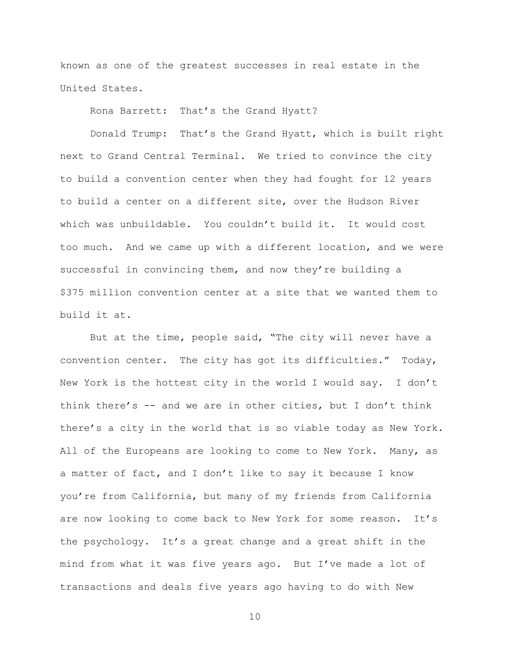known as one of the greatest successes in real estate in the United States.

Rona Barrett: That's the Grand Hyatt?

Donald Trump: That's the Grand Hyatt, which is built right next to Grand Central Terminal. We tried to convince the city to build a convention center when they had fought for 12 years to build a center on a different site, over the Hudson River which was unbuildable. You couldn't build it. It would cost too much. And we came up with a different location, and we were successful in convincing them, and now they're building a \$375 million convention center at a site that we wanted them to build it at.

But at the time, people said, "The city will never have a convention center. The city has got its difficulties." Today, New York is the hottest city in the world I would say. I don't think there's  $-$  and we are in other cities, but I don't think there's a city in the world that is so viable today as New York. All of the Europeans are looking to come to New York. Many, as a matter of fact, and I don't like to say it because I know you're from California, but many of my friends from California are now looking to come back to New York for some reason. It's the psychology. It's a great change and a great shift in the mind from what it was five years ago. But I've made a lot of transactions and deals five years ago having to do with New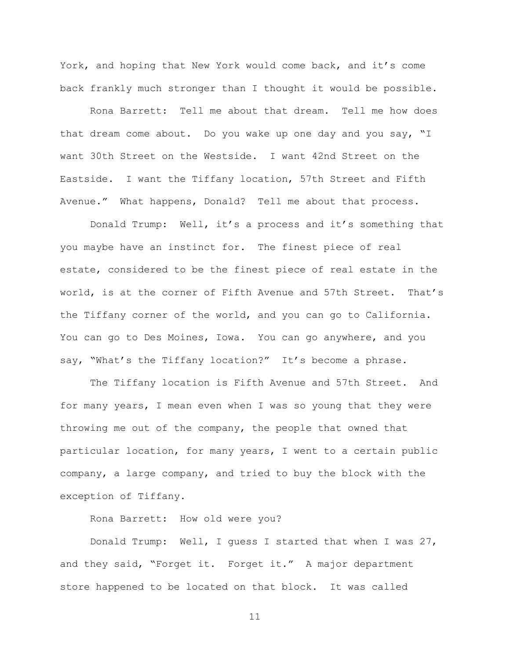York, and hoping that New York would come back, and it's come back frankly much stronger than I thought it would be possible.

Rona Barrett: Tell me about that dream. Tell me how does that dream come about. Do you wake up one day and you say, "I want 30th Street on the Westside. I want 42nd Street on the Eastside. I want the Tiffany location, 57th Street and Fifth Avenue." What happens, Donald? Tell me about that process.

Donald Trump: Well, it's a process and it's something that you maybe have an instinct for. The finest piece of real estate, considered to be the finest piece of real estate in the world, is at the corner of Fifth Avenue and 57th Street. That's the Tiffany corner of the world, and you can go to California. You can go to Des Moines, Iowa. You can go anywhere, and you say, "What's the Tiffany location?" It's become a phrase.

The Tiffany location is Fifth Avenue and 57th Street. And for many years, I mean even when I was so young that they were throwing me out of the company, the people that owned that particular location, for many years, I went to a certain public company, a large company, and tried to buy the block with the exception of Tiffany.

Rona Barrett: How old were you?

Donald Trump: Well, I guess I started that when I was 27, and they said, "Forget it. Forget it." A major department store happened to be located on that block. It was called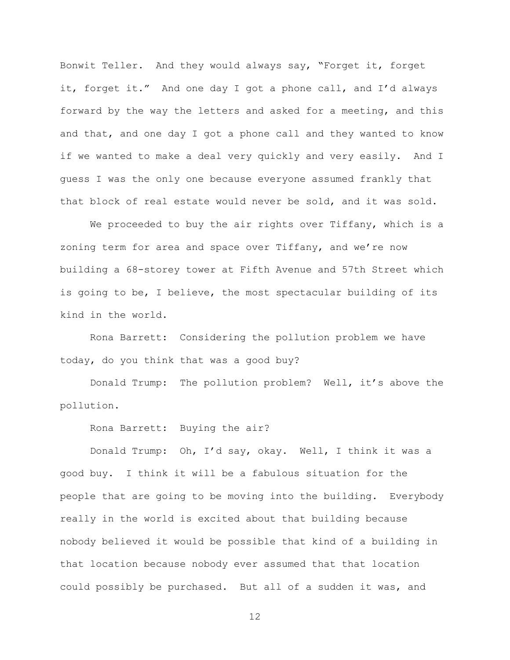Bonwit Teller. And they would always say, "Forget it, forget it, forget it." And one day I got a phone call, and I'd always forward by the way the letters and asked for a meeting, and this and that, and one day I got a phone call and they wanted to know if we wanted to make a deal very quickly and very easily. And I guess I was the only one because everyone assumed frankly that that block of real estate would never be sold, and it was sold.

We proceeded to buy the air rights over Tiffany, which is a zoning term for area and space over Tiffany, and we're now building a 68-storey tower at Fifth Avenue and 57th Street which is going to be, I believe, the most spectacular building of its kind in the world.

Rona Barrett: Considering the pollution problem we have today, do you think that was a good buy?

Donald Trump: The pollution problem? Well, it's above the pollution.

Rona Barrett: Buying the air?

Donald Trump: Oh, I'd say, okay. Well, I think it was a good buy. I think it will be a fabulous situation for the people that are going to be moving into the building. Everybody really in the world is excited about that building because nobody believed it would be possible that kind of a building in that location because nobody ever assumed that that location could possibly be purchased. But all of a sudden it was, and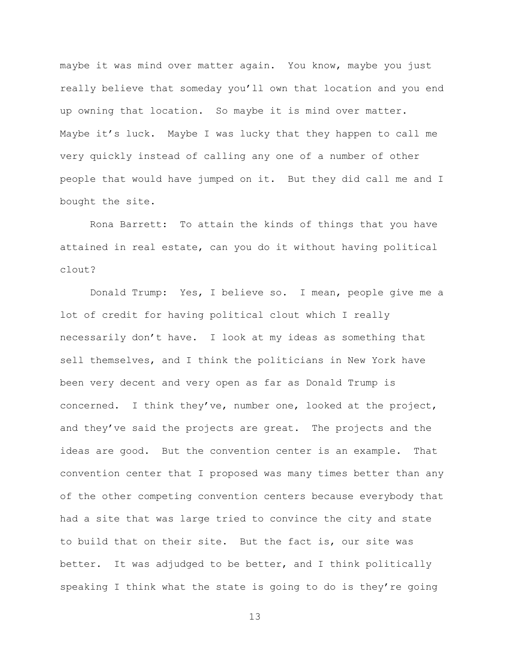maybe it was mind over matter again. You know, maybe you just really believe that someday you'll own that location and you end up owning that location. So maybe it is mind over matter. Maybe it's luck. Maybe I was lucky that they happen to call me very quickly instead of calling any one of a number of other people that would have jumped on it. But they did call me and I bought the site.

Rona Barrett: To attain the kinds of things that you have attained in real estate, can you do it without having political clout?

Donald Trump: Yes, I believe so. I mean, people give me a lot of credit for having political clout which I really necessarily don't have. I look at my ideas as something that sell themselves, and I think the politicians in New York have been very decent and very open as far as Donald Trump is concerned. I think they've, number one, looked at the project, and they've said the projects are great. The projects and the ideas are good. But the convention center is an example. That convention center that I proposed was many times better than any of the other competing convention centers because everybody that had a site that was large tried to convince the city and state to build that on their site. But the fact is, our site was better. It was adjudged to be better, and I think politically speaking I think what the state is going to do is they're going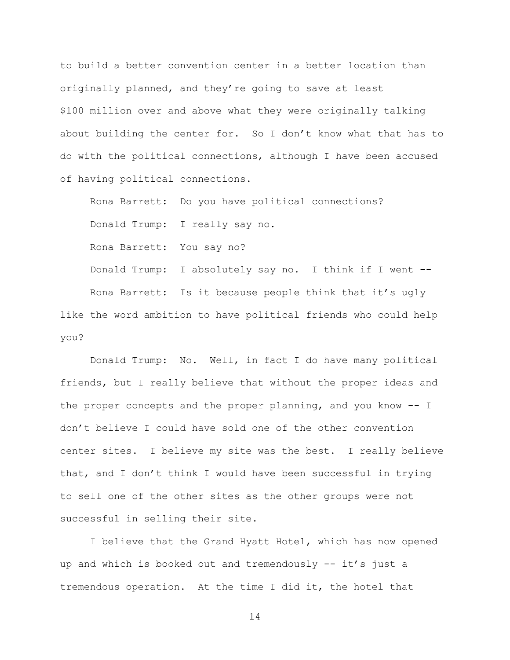to build a better convention center in a better location than originally planned, and they're going to save at least \$100 million over and above what they were originally talking about building the center for. So I don't know what that has to do with the political connections, although I have been accused of having political connections.

Rona Barrett: Do you have political connections? Donald Trump: I really say no. Rona Barrett: You say no? Donald Trump: I absolutely say no. I think if I went -- Rona Barrett: Is it because people think that it's ugly like the word ambition to have political friends who could help you?

Donald Trump: No. Well, in fact I do have many political friends, but I really believe that without the proper ideas and the proper concepts and the proper planning, and you know -- I don't believe I could have sold one of the other convention center sites. I believe my site was the best. I really believe that, and I don't think I would have been successful in trying to sell one of the other sites as the other groups were not successful in selling their site.

I believe that the Grand Hyatt Hotel, which has now opened up and which is booked out and tremendously -- it's just a tremendous operation. At the time I did it, the hotel that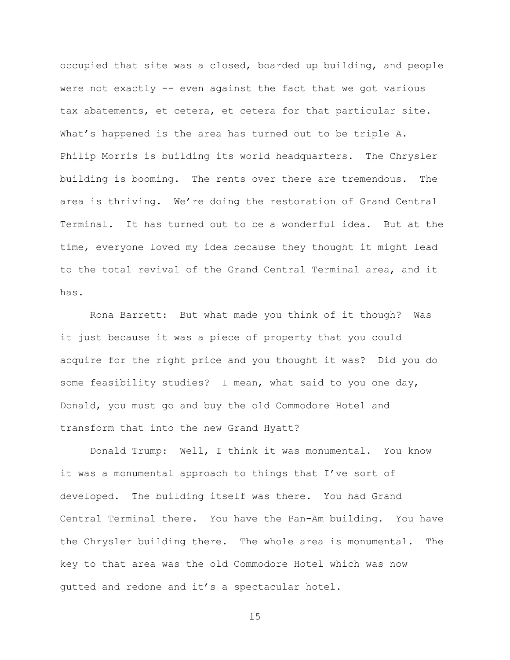occupied that site was a closed, boarded up building, and people were not exactly -- even against the fact that we got various tax abatements, et cetera, et cetera for that particular site. What's happened is the area has turned out to be triple A. Philip Morris is building its world headquarters. The Chrysler building is booming. The rents over there are tremendous. The area is thriving. We're doing the restoration of Grand Central Terminal. It has turned out to be a wonderful idea. But at the time, everyone loved my idea because they thought it might lead to the total revival of the Grand Central Terminal area, and it has.

Rona Barrett: But what made you think of it though? Was it just because it was a piece of property that you could acquire for the right price and you thought it was? Did you do some feasibility studies? I mean, what said to you one day, Donald, you must go and buy the old Commodore Hotel and transform that into the new Grand Hyatt?

Donald Trump: Well, I think it was monumental. You know it was a monumental approach to things that I've sort of developed. The building itself was there. You had Grand Central Terminal there. You have the Pan-Am building. You have the Chrysler building there. The whole area is monumental. The key to that area was the old Commodore Hotel which was now gutted and redone and it's a spectacular hotel.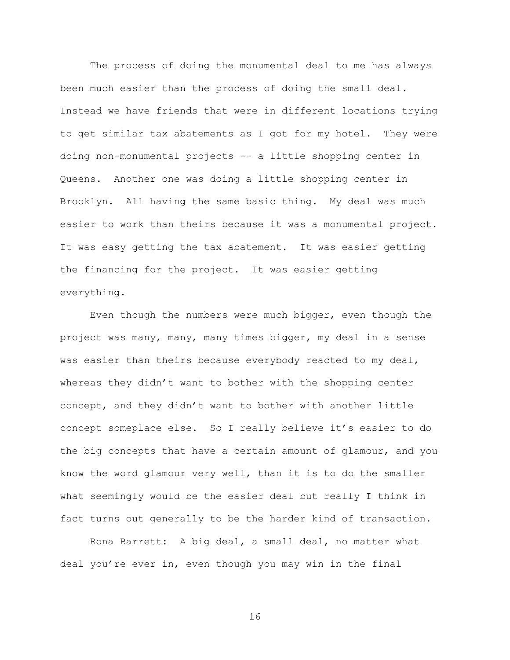The process of doing the monumental deal to me has always been much easier than the process of doing the small deal. Instead we have friends that were in different locations trying to get similar tax abatements as I got for my hotel. They were doing non-monumental projects -- a little shopping center in Queens. Another one was doing a little shopping center in Brooklyn. All having the same basic thing. My deal was much easier to work than theirs because it was a monumental project. It was easy getting the tax abatement. It was easier getting the financing for the project. It was easier getting everything.

Even though the numbers were much bigger, even though the project was many, many, many times bigger, my deal in a sense was easier than theirs because everybody reacted to my deal, whereas they didn't want to bother with the shopping center concept, and they didn't want to bother with another little concept someplace else. So I really believe it's easier to do the big concepts that have a certain amount of glamour, and you know the word glamour very well, than it is to do the smaller what seemingly would be the easier deal but really I think in fact turns out generally to be the harder kind of transaction.

Rona Barrett: A big deal, a small deal, no matter what deal you're ever in, even though you may win in the final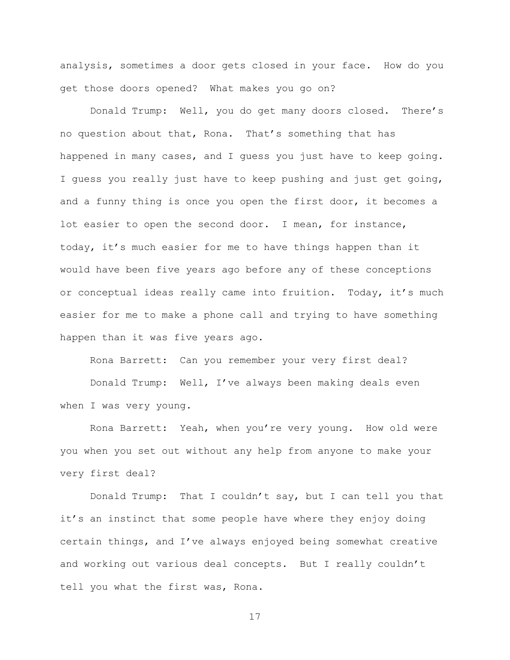analysis, sometimes a door gets closed in your face. How do you get those doors opened? What makes you go on?

Donald Trump: Well, you do get many doors closed. There's no question about that, Rona. That's something that has happened in many cases, and I guess you just have to keep going. I guess you really just have to keep pushing and just get going, and a funny thing is once you open the first door, it becomes a lot easier to open the second door. I mean, for instance, today, it's much easier for me to have things happen than it would have been five years ago before any of these conceptions or conceptual ideas really came into fruition. Today, it's much easier for me to make a phone call and trying to have something happen than it was five years ago.

Rona Barrett: Can you remember your very first deal? Donald Trump: Well, I've always been making deals even when I was very young.

Rona Barrett: Yeah, when you're very young. How old were you when you set out without any help from anyone to make your very first deal?

Donald Trump: That I couldn't say, but I can tell you that it's an instinct that some people have where they enjoy doing certain things, and I've always enjoyed being somewhat creative and working out various deal concepts. But I really couldn't tell you what the first was, Rona.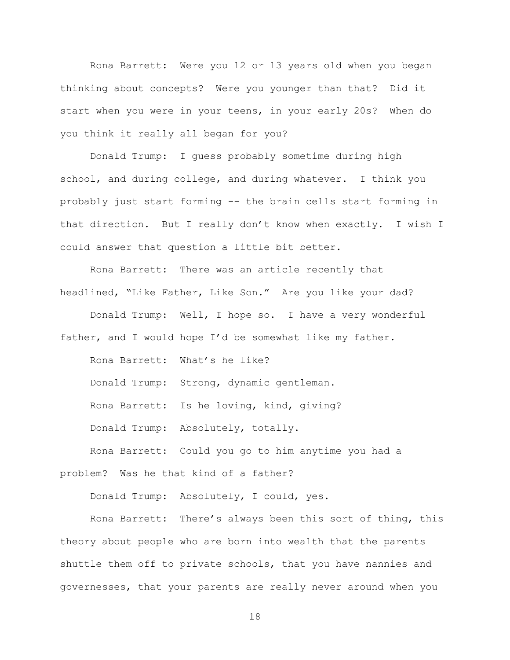Rona Barrett: Were you 12 or 13 years old when you began thinking about concepts? Were you younger than that? Did it start when you were in your teens, in your early 20s? When do you think it really all began for you?

Donald Trump: I guess probably sometime during high school, and during college, and during whatever. I think you probably just start forming -- the brain cells start forming in that direction. But I really don't know when exactly. I wish I could answer that question a little bit better.

Rona Barrett: There was an article recently that headlined, "Like Father, Like Son." Are you like your dad?

Donald Trump: Well, I hope so. I have a very wonderful father, and I would hope I'd be somewhat like my father.

Rona Barrett: What's he like? Donald Trump: Strong, dynamic gentleman. Rona Barrett: Is he loving, kind, giving? Donald Trump: Absolutely, totally. Rona Barrett: Could you go to him anytime you had a

problem? Was he that kind of a father?

Donald Trump: Absolutely, I could, yes.

Rona Barrett: There's always been this sort of thing, this theory about people who are born into wealth that the parents shuttle them off to private schools, that you have nannies and governesses, that your parents are really never around when you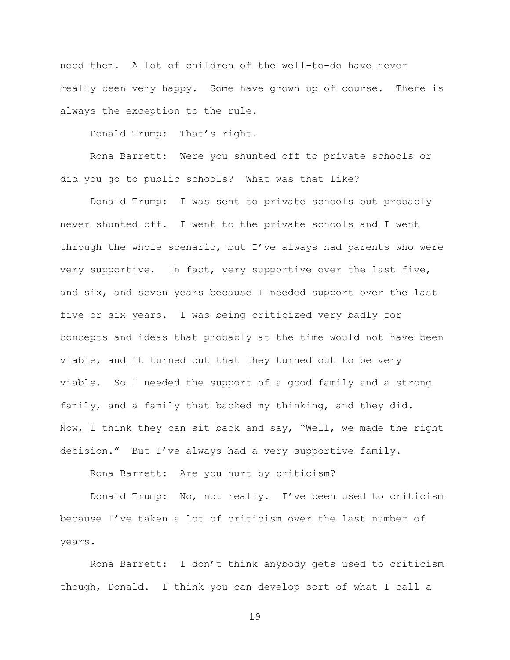need them. A lot of children of the well-to-do have never really been very happy. Some have grown up of course. There is always the exception to the rule.

Donald Trump: That's right.

Rona Barrett: Were you shunted off to private schools or did you go to public schools? What was that like?

Donald Trump: I was sent to private schools but probably never shunted off. I went to the private schools and I went through the whole scenario, but I've always had parents who were very supportive. In fact, very supportive over the last five, and six, and seven years because I needed support over the last five or six years. I was being criticized very badly for concepts and ideas that probably at the time would not have been viable, and it turned out that they turned out to be very viable. So I needed the support of a good family and a strong family, and a family that backed my thinking, and they did. Now, I think they can sit back and say, "Well, we made the right decision." But I've always had a very supportive family.

Rona Barrett: Are you hurt by criticism?

Donald Trump: No, not really. I've been used to criticism because I've taken a lot of criticism over the last number of years.

Rona Barrett: I don't think anybody gets used to criticism though, Donald. I think you can develop sort of what I call a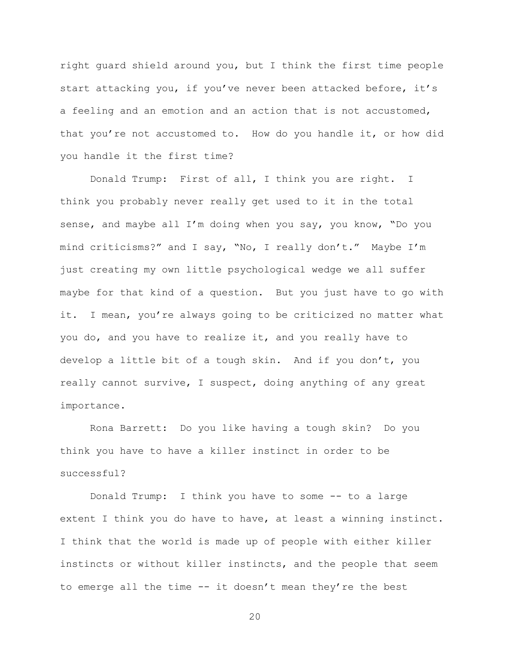right guard shield around you, but I think the first time people start attacking you, if you've never been attacked before, it's a feeling and an emotion and an action that is not accustomed, that you're not accustomed to. How do you handle it, or how did you handle it the first time?

Donald Trump: First of all, I think you are right. I think you probably never really get used to it in the total sense, and maybe all I'm doing when you say, you know, "Do you mind criticisms?" and I say, "No, I really don't." Maybe I'm just creating my own little psychological wedge we all suffer maybe for that kind of a question. But you just have to go with it. I mean, you're always going to be criticized no matter what you do, and you have to realize it, and you really have to develop a little bit of a tough skin. And if you don't, you really cannot survive, I suspect, doing anything of any great importance.

Rona Barrett: Do you like having a tough skin? Do you think you have to have a killer instinct in order to be successful?

Donald Trump: I think you have to some -- to a large extent I think you do have to have, at least a winning instinct. I think that the world is made up of people with either killer instincts or without killer instincts, and the people that seem to emerge all the time -- it doesn't mean they're the best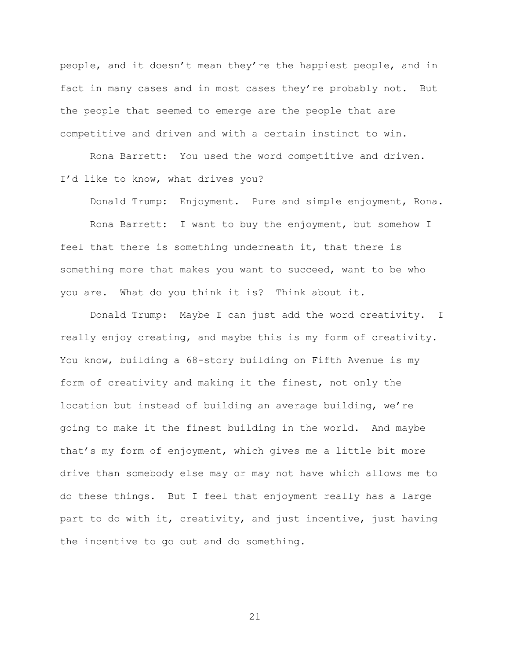people, and it doesn't mean they're the happiest people, and in fact in many cases and in most cases they're probably not. But the people that seemed to emerge are the people that are competitive and driven and with a certain instinct to win.

Rona Barrett: You used the word competitive and driven. I'd like to know, what drives you?

Donald Trump: Enjoyment. Pure and simple enjoyment, Rona.

Rona Barrett: I want to buy the enjoyment, but somehow I feel that there is something underneath it, that there is something more that makes you want to succeed, want to be who you are. What do you think it is? Think about it.

Donald Trump: Maybe I can just add the word creativity. I really enjoy creating, and maybe this is my form of creativity. You know, building a 68-story building on Fifth Avenue is my form of creativity and making it the finest, not only the location but instead of building an average building, we're going to make it the finest building in the world. And maybe that's my form of enjoyment, which gives me a little bit more drive than somebody else may or may not have which allows me to do these things. But I feel that enjoyment really has a large part to do with it, creativity, and just incentive, just having the incentive to go out and do something.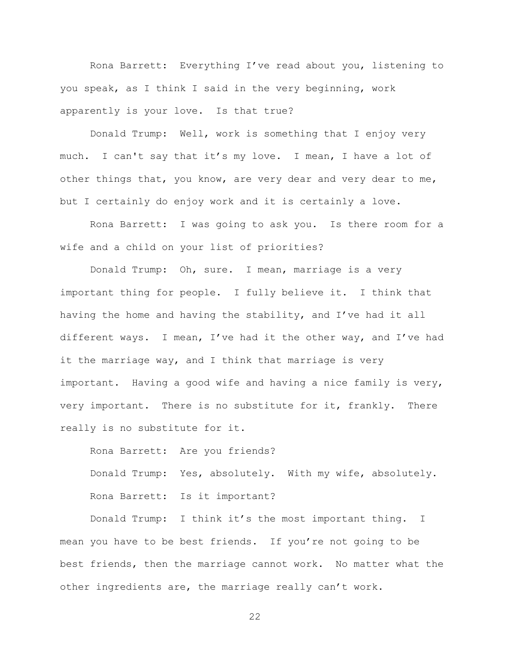Rona Barrett: Everything I've read about you, listening to you speak, as I think I said in the very beginning, work apparently is your love. Is that true?

Donald Trump: Well, work is something that I enjoy very much. I can't say that it's my love. I mean, I have a lot of other things that, you know, are very dear and very dear to me, but I certainly do enjoy work and it is certainly a love.

Rona Barrett: I was going to ask you. Is there room for a wife and a child on your list of priorities?

Donald Trump: Oh, sure. I mean, marriage is a very important thing for people. I fully believe it. I think that having the home and having the stability, and I've had it all different ways. I mean, I've had it the other way, and I've had it the marriage way, and I think that marriage is very important. Having a good wife and having a nice family is very, very important. There is no substitute for it, frankly. There really is no substitute for it.

Rona Barrett: Are you friends? Donald Trump: Yes, absolutely. With my wife, absolutely. Rona Barrett: Is it important?

Donald Trump: I think it's the most important thing. I mean you have to be best friends. If you're not going to be best friends, then the marriage cannot work. No matter what the other ingredients are, the marriage really can't work.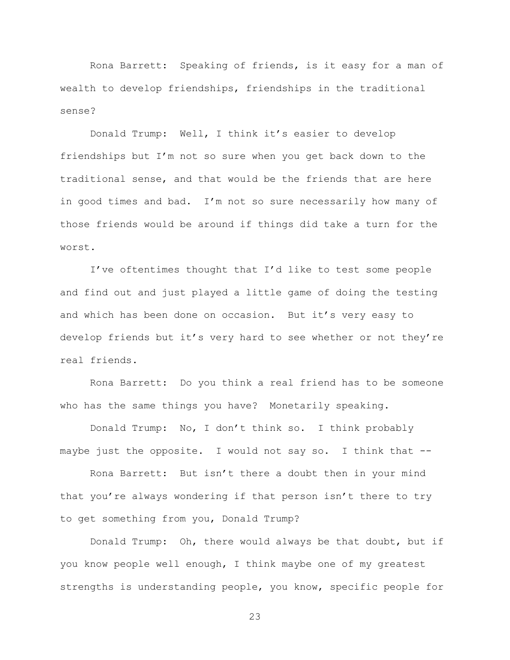Rona Barrett: Speaking of friends, is it easy for a man of wealth to develop friendships, friendships in the traditional sense?

Donald Trump: Well, I think it's easier to develop friendships but I'm not so sure when you get back down to the traditional sense, and that would be the friends that are here in good times and bad. I'm not so sure necessarily how many of those friends would be around if things did take a turn for the worst.

I've oftentimes thought that I'd like to test some people and find out and just played a little game of doing the testing and which has been done on occasion. But it's very easy to develop friends but it's very hard to see whether or not they're real friends.

Rona Barrett: Do you think a real friend has to be someone who has the same things you have? Monetarily speaking.

Donald Trump: No, I don't think so. I think probably maybe just the opposite. I would not say so. I think that --

Rona Barrett: But isn't there a doubt then in your mind that you're always wondering if that person isn't there to try to get something from you, Donald Trump?

Donald Trump: Oh, there would always be that doubt, but if you know people well enough, I think maybe one of my greatest strengths is understanding people, you know, specific people for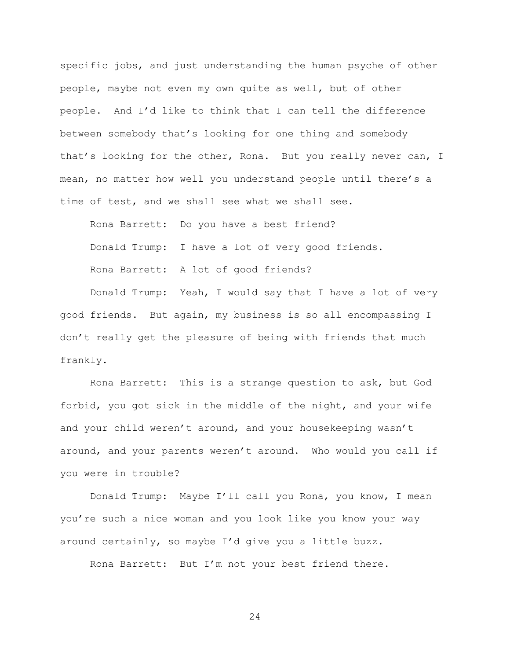specific jobs, and just understanding the human psyche of other people, maybe not even my own quite as well, but of other people. And I'd like to think that I can tell the difference between somebody that's looking for one thing and somebody that's looking for the other, Rona. But you really never can, I mean, no matter how well you understand people until there's a time of test, and we shall see what we shall see.

Rona Barrett: Do you have a best friend? Donald Trump: I have a lot of very good friends. Rona Barrett: A lot of good friends?

Donald Trump: Yeah, I would say that I have a lot of very good friends. But again, my business is so all encompassing I don't really get the pleasure of being with friends that much frankly.

Rona Barrett: This is a strange question to ask, but God forbid, you got sick in the middle of the night, and your wife and your child weren't around, and your housekeeping wasn't around, and your parents weren't around. Who would you call if you were in trouble?

Donald Trump: Maybe I'll call you Rona, you know, I mean you're such a nice woman and you look like you know your way around certainly, so maybe I'd give you a little buzz.

Rona Barrett: But I'm not your best friend there.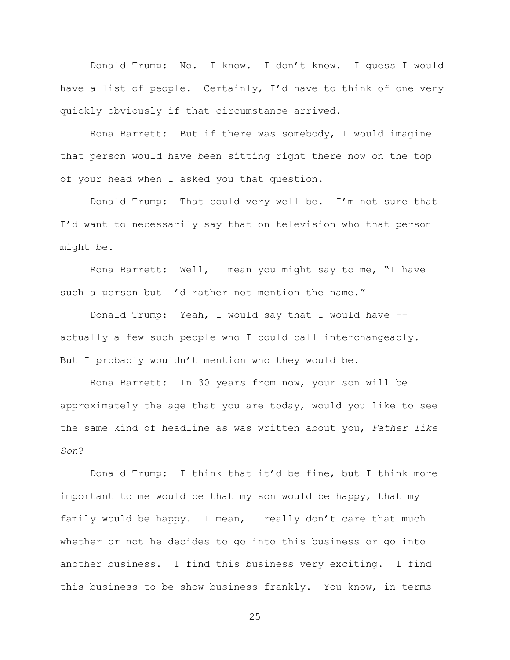Donald Trump: No. I know. I don't know. I guess I would have a list of people. Certainly, I'd have to think of one very quickly obviously if that circumstance arrived.

Rona Barrett: But if there was somebody, I would imagine that person would have been sitting right there now on the top of your head when I asked you that question.

Donald Trump: That could very well be. I'm not sure that I'd want to necessarily say that on television who that person might be.

Rona Barrett: Well, I mean you might say to me, "I have such a person but I'd rather not mention the name."

Donald Trump: Yeah, I would say that I would have - actually a few such people who I could call interchangeably. But I probably wouldn't mention who they would be.

Rona Barrett: In 30 years from now, your son will be approximately the age that you are today, would you like to see the same kind of headline as was written about you, *Father like Son*?

Donald Trump: I think that it'd be fine, but I think more important to me would be that my son would be happy, that my family would be happy. I mean, I really don't care that much whether or not he decides to go into this business or go into another business. I find this business very exciting. I find this business to be show business frankly. You know, in terms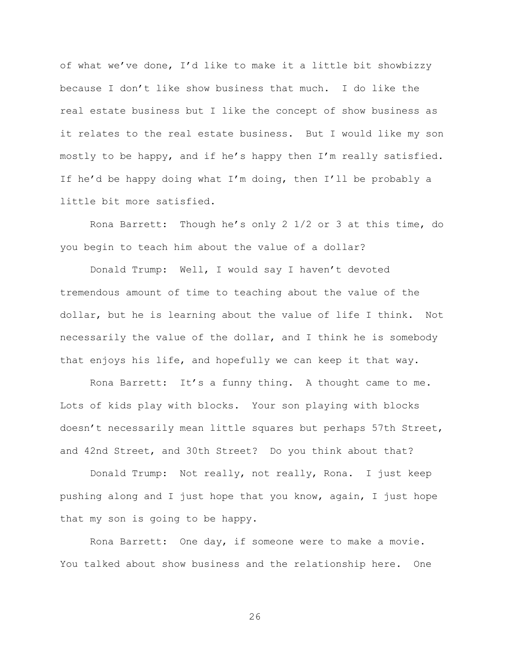of what we've done, I'd like to make it a little bit showbizzy because I don't like show business that much. I do like the real estate business but I like the concept of show business as it relates to the real estate business. But I would like my son mostly to be happy, and if he's happy then I'm really satisfied. If he'd be happy doing what I'm doing, then I'll be probably a little bit more satisfied.

Rona Barrett: Though he's only 2 1/2 or 3 at this time, do you begin to teach him about the value of a dollar?

Donald Trump: Well, I would say I haven't devoted tremendous amount of time to teaching about the value of the dollar, but he is learning about the value of life I think. Not necessarily the value of the dollar, and I think he is somebody that enjoys his life, and hopefully we can keep it that way.

Rona Barrett: It's a funny thing. A thought came to me. Lots of kids play with blocks. Your son playing with blocks doesn't necessarily mean little squares but perhaps 57th Street, and 42nd Street, and 30th Street? Do you think about that?

Donald Trump: Not really, not really, Rona. I just keep pushing along and I just hope that you know, again, I just hope that my son is going to be happy.

Rona Barrett: One day, if someone were to make a movie. You talked about show business and the relationship here. One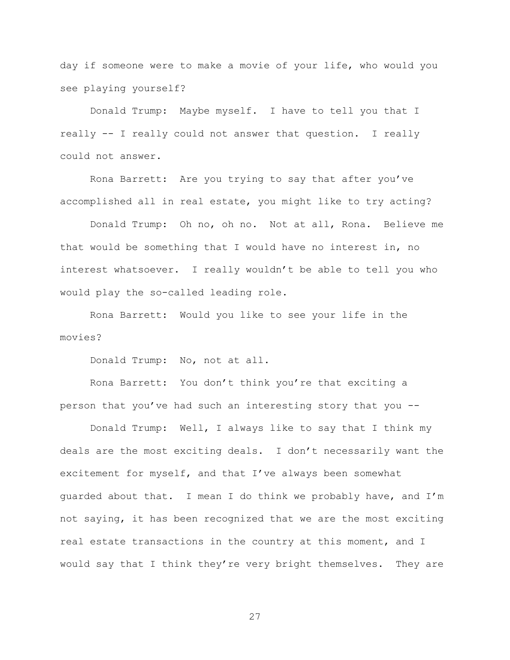day if someone were to make a movie of your life, who would you see playing yourself?

Donald Trump: Maybe myself. I have to tell you that I really -- I really could not answer that question. I really could not answer.

Rona Barrett: Are you trying to say that after you've accomplished all in real estate, you might like to try acting?

Donald Trump: Oh no, oh no. Not at all, Rona. Believe me that would be something that I would have no interest in, no interest whatsoever. I really wouldn't be able to tell you who would play the so-called leading role.

Rona Barrett: Would you like to see your life in the movies?

Donald Trump: No, not at all.

Rona Barrett: You don't think you're that exciting a person that you've had such an interesting story that you --

Donald Trump: Well, I always like to say that I think my deals are the most exciting deals. I don't necessarily want the excitement for myself, and that I've always been somewhat guarded about that. I mean I do think we probably have, and I'm not saying, it has been recognized that we are the most exciting real estate transactions in the country at this moment, and I would say that I think they're very bright themselves. They are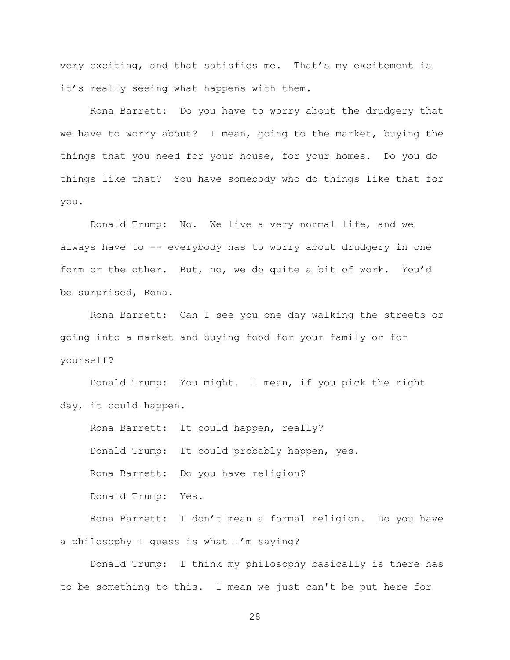very exciting, and that satisfies me. That's my excitement is it's really seeing what happens with them.

Rona Barrett: Do you have to worry about the drudgery that we have to worry about? I mean, going to the market, buying the things that you need for your house, for your homes. Do you do things like that? You have somebody who do things like that for you.

Donald Trump: No. We live a very normal life, and we always have to -- everybody has to worry about drudgery in one form or the other. But, no, we do quite a bit of work. You'd be surprised, Rona.

Rona Barrett: Can I see you one day walking the streets or going into a market and buying food for your family or for yourself?

Donald Trump: You might. I mean, if you pick the right day, it could happen.

Rona Barrett: It could happen, really? Donald Trump: It could probably happen, yes. Rona Barrett: Do you have religion? Donald Trump: Yes. Rona Barrett: I don't mean a formal religion. Do you have a philosophy I guess is what I'm saying?

Donald Trump: I think my philosophy basically is there has to be something to this. I mean we just can't be put here for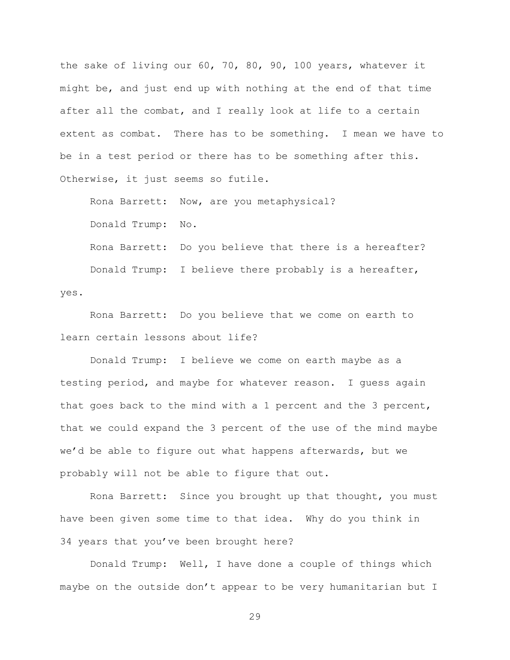the sake of living our 60, 70, 80, 90, 100 years, whatever it might be, and just end up with nothing at the end of that time after all the combat, and I really look at life to a certain extent as combat. There has to be something. I mean we have to be in a test period or there has to be something after this. Otherwise, it just seems so futile.

Rona Barrett: Now, are you metaphysical?

Donald Trump: No.

Rona Barrett: Do you believe that there is a hereafter? Donald Trump: I believe there probably is a hereafter, yes.

Rona Barrett: Do you believe that we come on earth to learn certain lessons about life?

Donald Trump: I believe we come on earth maybe as a testing period, and maybe for whatever reason. I guess again that goes back to the mind with a 1 percent and the 3 percent, that we could expand the 3 percent of the use of the mind maybe we'd be able to figure out what happens afterwards, but we probably will not be able to figure that out.

Rona Barrett: Since you brought up that thought, you must have been given some time to that idea. Why do you think in 34 years that you've been brought here?

Donald Trump: Well, I have done a couple of things which maybe on the outside don't appear to be very humanitarian but I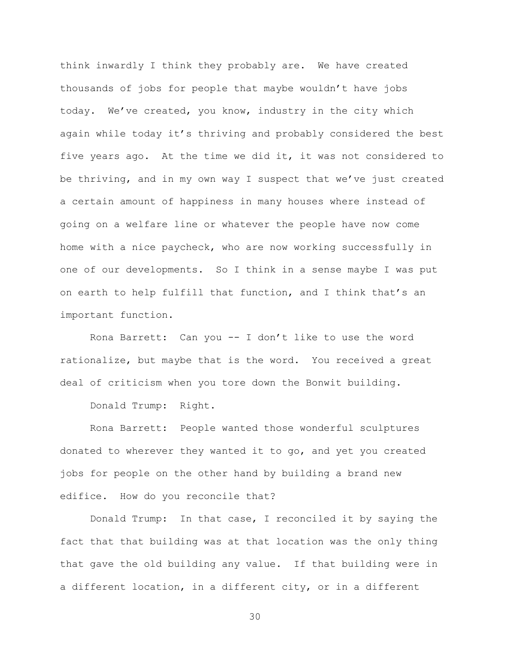think inwardly I think they probably are. We have created thousands of jobs for people that maybe wouldn't have jobs today. We've created, you know, industry in the city which again while today it's thriving and probably considered the best five years ago. At the time we did it, it was not considered to be thriving, and in my own way I suspect that we've just created a certain amount of happiness in many houses where instead of going on a welfare line or whatever the people have now come home with a nice paycheck, who are now working successfully in one of our developments. So I think in a sense maybe I was put on earth to help fulfill that function, and I think that's an important function.

Rona Barrett: Can you -- I don't like to use the word rationalize, but maybe that is the word. You received a great deal of criticism when you tore down the Bonwit building.

Donald Trump: Right.

Rona Barrett: People wanted those wonderful sculptures donated to wherever they wanted it to go, and yet you created jobs for people on the other hand by building a brand new edifice. How do you reconcile that?

Donald Trump: In that case, I reconciled it by saying the fact that that building was at that location was the only thing that gave the old building any value. If that building were in a different location, in a different city, or in a different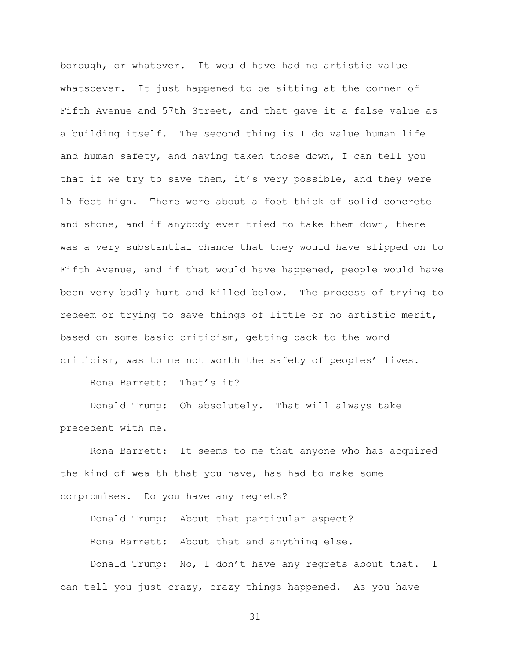borough, or whatever. It would have had no artistic value whatsoever. It just happened to be sitting at the corner of Fifth Avenue and 57th Street, and that gave it a false value as a building itself. The second thing is I do value human life and human safety, and having taken those down, I can tell you that if we try to save them, it's very possible, and they were 15 feet high. There were about a foot thick of solid concrete and stone, and if anybody ever tried to take them down, there was a very substantial chance that they would have slipped on to Fifth Avenue, and if that would have happened, people would have been very badly hurt and killed below. The process of trying to redeem or trying to save things of little or no artistic merit, based on some basic criticism, getting back to the word criticism, was to me not worth the safety of peoples' lives.

Rona Barrett: That's it?

Donald Trump: Oh absolutely. That will always take precedent with me.

Rona Barrett: It seems to me that anyone who has acquired the kind of wealth that you have, has had to make some compromises. Do you have any regrets?

Donald Trump: About that particular aspect? Rona Barrett: About that and anything else.

Donald Trump: No, I don't have any regrets about that. I can tell you just crazy, crazy things happened. As you have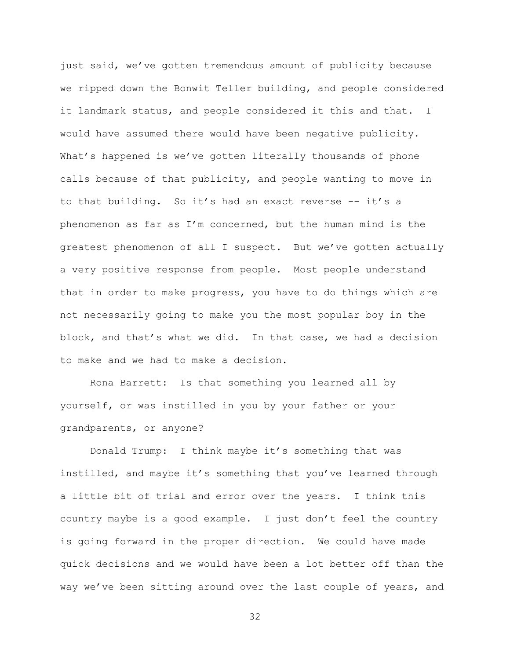just said, we've gotten tremendous amount of publicity because we ripped down the Bonwit Teller building, and people considered it landmark status, and people considered it this and that. I would have assumed there would have been negative publicity. What's happened is we've gotten literally thousands of phone calls because of that publicity, and people wanting to move in to that building. So it's had an exact reverse -- it's a phenomenon as far as I'm concerned, but the human mind is the greatest phenomenon of all I suspect. But we've gotten actually a very positive response from people. Most people understand that in order to make progress, you have to do things which are not necessarily going to make you the most popular boy in the block, and that's what we did. In that case, we had a decision to make and we had to make a decision.

Rona Barrett: Is that something you learned all by yourself, or was instilled in you by your father or your grandparents, or anyone?

Donald Trump: I think maybe it's something that was instilled, and maybe it's something that you've learned through a little bit of trial and error over the years. I think this country maybe is a good example. I just don't feel the country is going forward in the proper direction. We could have made quick decisions and we would have been a lot better off than the way we've been sitting around over the last couple of years, and

```
32
```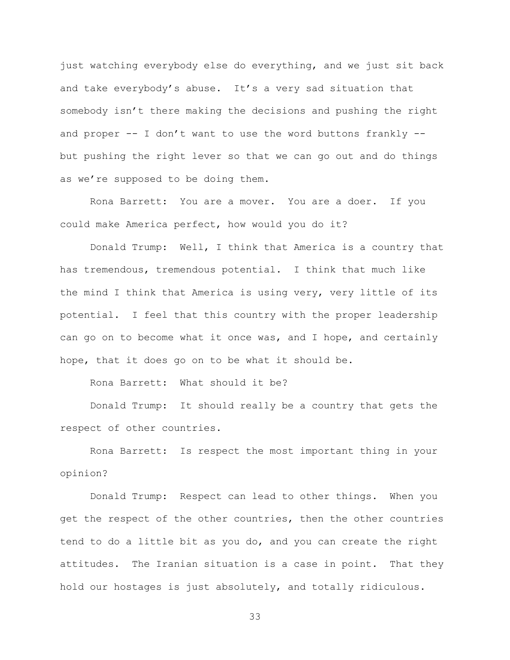just watching everybody else do everything, and we just sit back and take everybody's abuse. It's a very sad situation that somebody isn't there making the decisions and pushing the right and proper  $--$  I don't want to use the word buttons frankly  $-$ but pushing the right lever so that we can go out and do things as we're supposed to be doing them.

Rona Barrett: You are a mover. You are a doer. If you could make America perfect, how would you do it?

Donald Trump: Well, I think that America is a country that has tremendous, tremendous potential. I think that much like the mind I think that America is using very, very little of its potential. I feel that this country with the proper leadership can go on to become what it once was, and I hope, and certainly hope, that it does go on to be what it should be.

Rona Barrett: What should it be?

Donald Trump: It should really be a country that gets the respect of other countries.

Rona Barrett: Is respect the most important thing in your opinion?

Donald Trump: Respect can lead to other things. When you get the respect of the other countries, then the other countries tend to do a little bit as you do, and you can create the right attitudes. The Iranian situation is a case in point. That they hold our hostages is just absolutely, and totally ridiculous.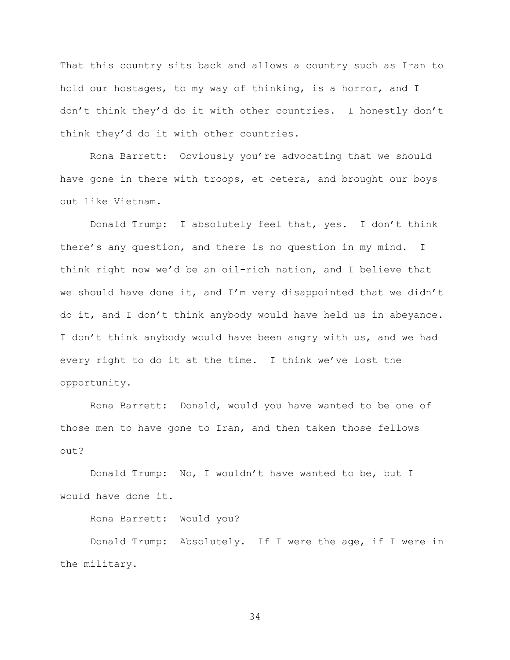That this country sits back and allows a country such as Iran to hold our hostages, to my way of thinking, is a horror, and I don't think they'd do it with other countries. I honestly don't think they'd do it with other countries.

Rona Barrett: Obviously you're advocating that we should have gone in there with troops, et cetera, and brought our boys out like Vietnam.

Donald Trump: I absolutely feel that, yes. I don't think there's any question, and there is no question in my mind. I think right now we'd be an oil-rich nation, and I believe that we should have done it, and I'm very disappointed that we didn't do it, and I don't think anybody would have held us in abeyance. I don't think anybody would have been angry with us, and we had every right to do it at the time. I think we've lost the opportunity.

Rona Barrett: Donald, would you have wanted to be one of those men to have gone to Iran, and then taken those fellows out?

Donald Trump: No, I wouldn't have wanted to be, but I would have done it.

Rona Barrett: Would you?

Donald Trump: Absolutely. If I were the age, if I were in the military.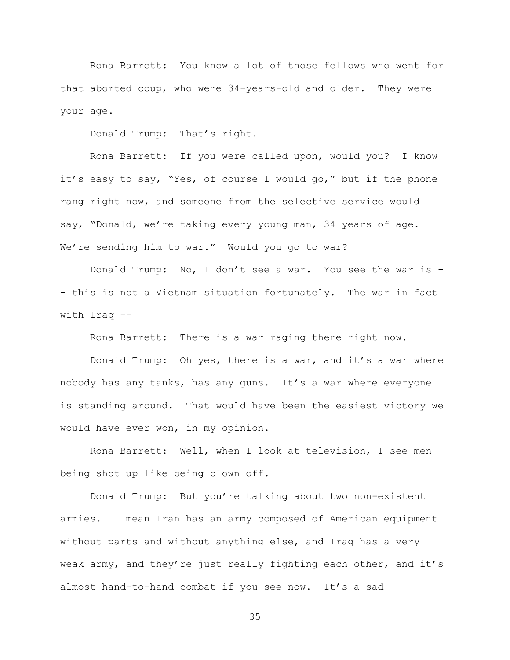Rona Barrett: You know a lot of those fellows who went for that aborted coup, who were 34-years-old and older. They were your age.

Donald Trump: That's right.

Rona Barrett: If you were called upon, would you? I know it's easy to say, "Yes, of course I would go," but if the phone rang right now, and someone from the selective service would say, "Donald, we're taking every young man, 34 years of age. We're sending him to war." Would you go to war?

Donald Trump: No, I don't see a war. You see the war is - - this is not a Vietnam situation fortunately. The war in fact with Iraq --

Rona Barrett: There is a war raging there right now.

Donald Trump: Oh yes, there is a war, and it's a war where nobody has any tanks, has any guns. It's a war where everyone is standing around. That would have been the easiest victory we would have ever won, in my opinion.

Rona Barrett: Well, when I look at television, I see men being shot up like being blown off.

Donald Trump: But you're talking about two non-existent armies. I mean Iran has an army composed of American equipment without parts and without anything else, and Iraq has a very weak army, and they're just really fighting each other, and it's almost hand-to-hand combat if you see now. It's a sad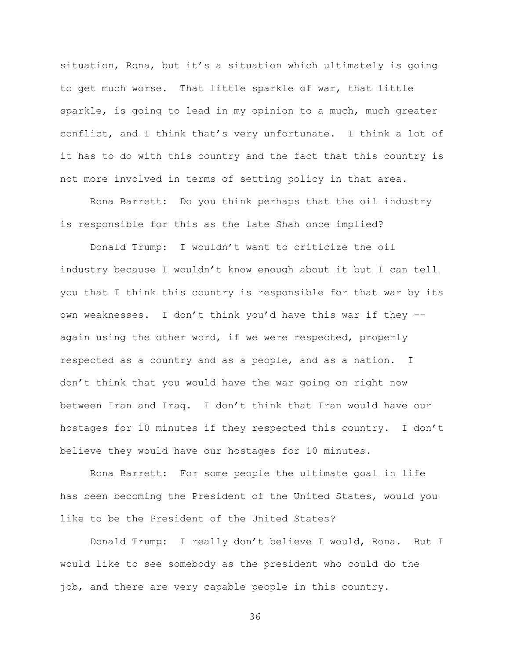situation, Rona, but it's a situation which ultimately is going to get much worse. That little sparkle of war, that little sparkle, is going to lead in my opinion to a much, much greater conflict, and I think that's very unfortunate. I think a lot of it has to do with this country and the fact that this country is not more involved in terms of setting policy in that area.

Rona Barrett: Do you think perhaps that the oil industry is responsible for this as the late Shah once implied?

Donald Trump: I wouldn't want to criticize the oil industry because I wouldn't know enough about it but I can tell you that I think this country is responsible for that war by its own weaknesses. I don't think you'd have this war if they - again using the other word, if we were respected, properly respected as a country and as a people, and as a nation. I don't think that you would have the war going on right now between Iran and Iraq. I don't think that Iran would have our hostages for 10 minutes if they respected this country. I don't believe they would have our hostages for 10 minutes.

Rona Barrett: For some people the ultimate goal in life has been becoming the President of the United States, would you like to be the President of the United States?

Donald Trump: I really don't believe I would, Rona. But I would like to see somebody as the president who could do the job, and there are very capable people in this country.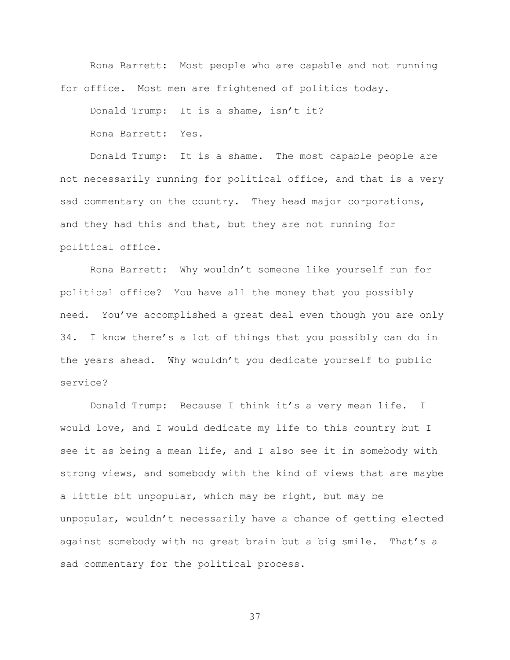```
Rona Barrett: Most people who are capable and not running 
for office. Most men are frightened of politics today.
```
Donald Trump: It is a shame, isn't it?

Rona Barrett: Yes.

Donald Trump: It is a shame. The most capable people are not necessarily running for political office, and that is a very sad commentary on the country. They head major corporations, and they had this and that, but they are not running for political office.

Rona Barrett: Why wouldn't someone like yourself run for political office? You have all the money that you possibly need. You've accomplished a great deal even though you are only 34. I know there's a lot of things that you possibly can do in the years ahead. Why wouldn't you dedicate yourself to public service?

Donald Trump: Because I think it's a very mean life. I would love, and I would dedicate my life to this country but I see it as being a mean life, and I also see it in somebody with strong views, and somebody with the kind of views that are maybe a little bit unpopular, which may be right, but may be unpopular, wouldn't necessarily have a chance of getting elected against somebody with no great brain but a big smile. That's a sad commentary for the political process.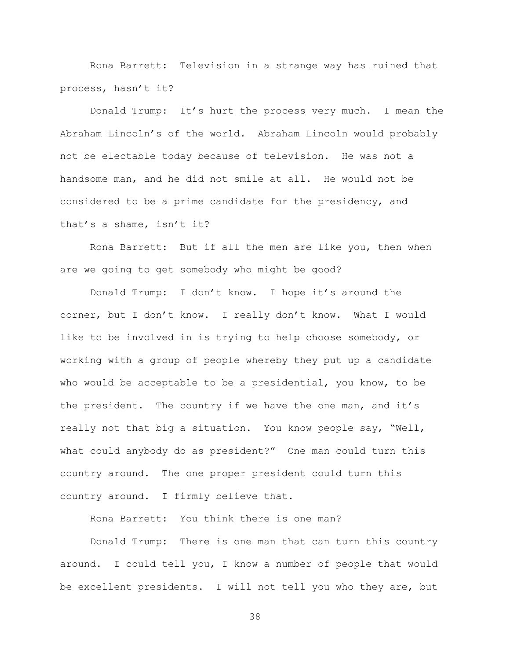Rona Barrett: Television in a strange way has ruined that process, hasn't it?

Donald Trump: It's hurt the process very much. I mean the Abraham Lincoln's of the world. Abraham Lincoln would probably not be electable today because of television. He was not a handsome man, and he did not smile at all. He would not be considered to be a prime candidate for the presidency, and that's a shame, isn't it?

Rona Barrett: But if all the men are like you, then when are we going to get somebody who might be good?

Donald Trump: I don't know. I hope it's around the corner, but I don't know. I really don't know. What I would like to be involved in is trying to help choose somebody, or working with a group of people whereby they put up a candidate who would be acceptable to be a presidential, you know, to be the president. The country if we have the one man, and it's really not that big a situation. You know people say, "Well, what could anybody do as president?" One man could turn this country around. The one proper president could turn this country around. I firmly believe that.

Rona Barrett: You think there is one man?

Donald Trump: There is one man that can turn this country around. I could tell you, I know a number of people that would be excellent presidents. I will not tell you who they are, but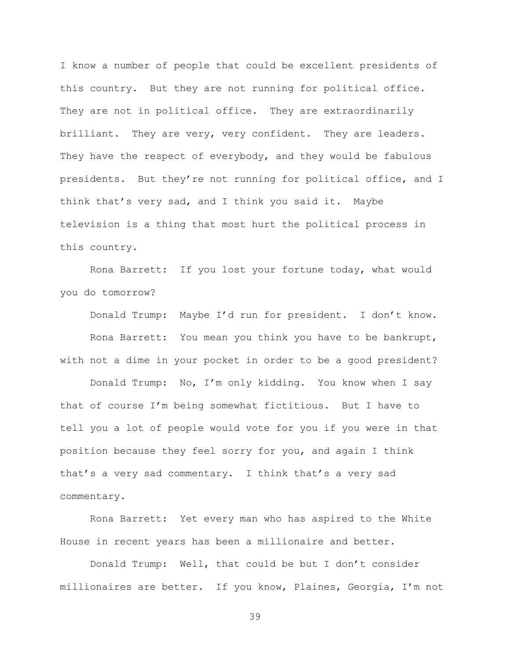I know a number of people that could be excellent presidents of this country. But they are not running for political office. They are not in political office. They are extraordinarily brilliant. They are very, very confident. They are leaders. They have the respect of everybody, and they would be fabulous presidents. But they're not running for political office, and I think that's very sad, and I think you said it. Maybe television is a thing that most hurt the political process in this country.

Rona Barrett: If you lost your fortune today, what would you do tomorrow?

Donald Trump: Maybe I'd run for president. I don't know. Rona Barrett: You mean you think you have to be bankrupt, with not a dime in your pocket in order to be a good president?

Donald Trump: No, I'm only kidding. You know when I say that of course I'm being somewhat fictitious. But I have to tell you a lot of people would vote for you if you were in that position because they feel sorry for you, and again I think that's a very sad commentary. I think that's a very sad commentary.

Rona Barrett: Yet every man who has aspired to the White House in recent years has been a millionaire and better.

Donald Trump: Well, that could be but I don't consider millionaires are better. If you know, Plaines, Georgia, I'm not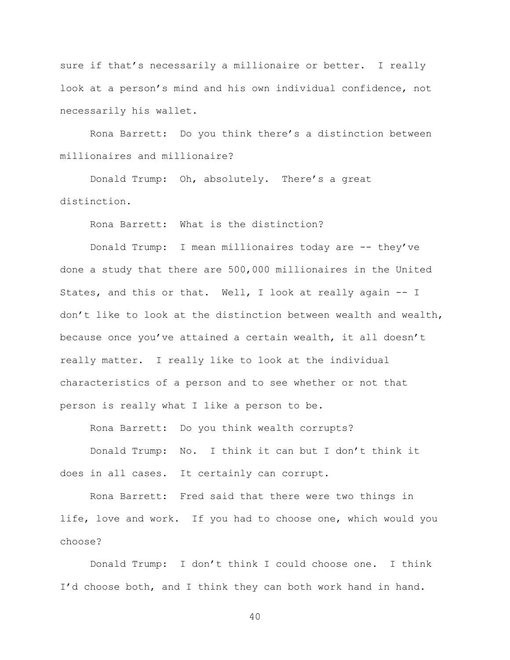sure if that's necessarily a millionaire or better. I really look at a person's mind and his own individual confidence, not necessarily his wallet.

Rona Barrett: Do you think there's a distinction between millionaires and millionaire?

Donald Trump: Oh, absolutely. There's a great distinction.

Rona Barrett: What is the distinction?

Donald Trump: I mean millionaires today are -- they've done a study that there are 500,000 millionaires in the United States, and this or that. Well, I look at really again -- I don't like to look at the distinction between wealth and wealth, because once you've attained a certain wealth, it all doesn't really matter. I really like to look at the individual characteristics of a person and to see whether or not that person is really what I like a person to be.

Rona Barrett: Do you think wealth corrupts?

Donald Trump: No. I think it can but I don't think it does in all cases. It certainly can corrupt.

Rona Barrett: Fred said that there were two things in life, love and work. If you had to choose one, which would you choose?

Donald Trump: I don't think I could choose one. I think I'd choose both, and I think they can both work hand in hand.

 $4<sub>0</sub>$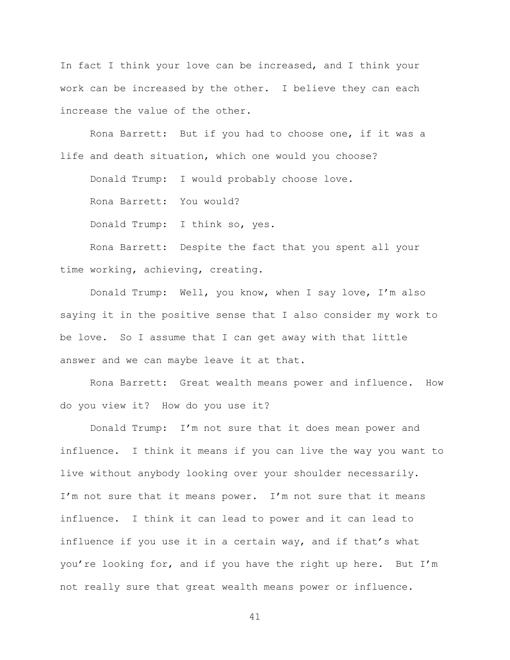In fact I think your love can be increased, and I think your work can be increased by the other. I believe they can each increase the value of the other.

Rona Barrett: But if you had to choose one, if it was a life and death situation, which one would you choose?

Donald Trump: I would probably choose love.

Rona Barrett: You would?

Donald Trump: I think so, yes.

Rona Barrett: Despite the fact that you spent all your time working, achieving, creating.

Donald Trump: Well, you know, when I say love, I'm also saying it in the positive sense that I also consider my work to be love. So I assume that I can get away with that little answer and we can maybe leave it at that.

Rona Barrett: Great wealth means power and influence. How do you view it? How do you use it?

Donald Trump: I'm not sure that it does mean power and influence. I think it means if you can live the way you want to live without anybody looking over your shoulder necessarily. I'm not sure that it means power. I'm not sure that it means influence. I think it can lead to power and it can lead to influence if you use it in a certain way, and if that's what you're looking for, and if you have the right up here. But I'm not really sure that great wealth means power or influence.